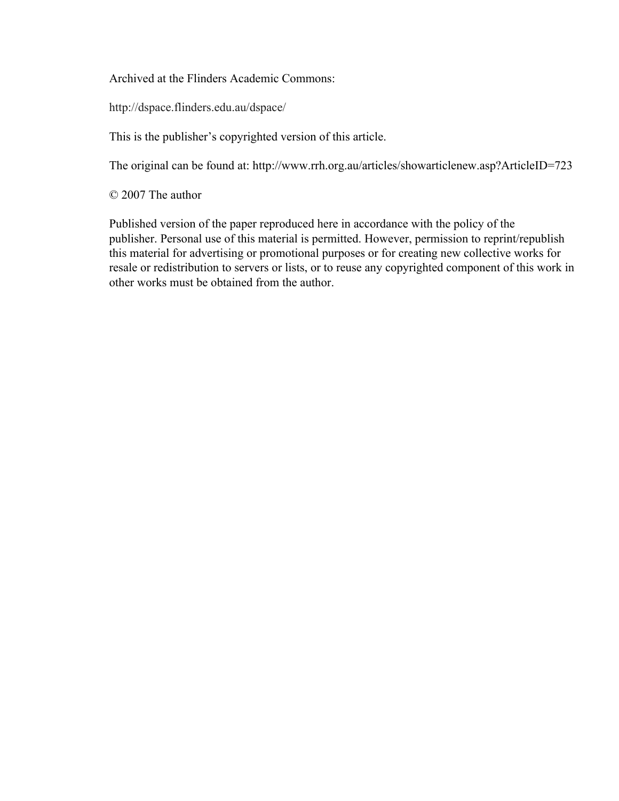Archived at the Flinders Academic Commons:

http://dspace.flinders.edu.au/dspace/

This is the publisher's copyrighted version of this article.

The original can be found at: http://www.rrh.org.au/articles/showarticlenew.asp?ArticleID=723

© 2007 The author

Published version of the paper reproduced here in accordance with the policy of the publisher. Personal use of this material is permitted. However, permission to reprint/republish this material for advertising or promotional purposes or for creating new collective works for resale or redistribution to servers or lists, or to reuse any copyrighted component of this work in other works must be obtained from the author.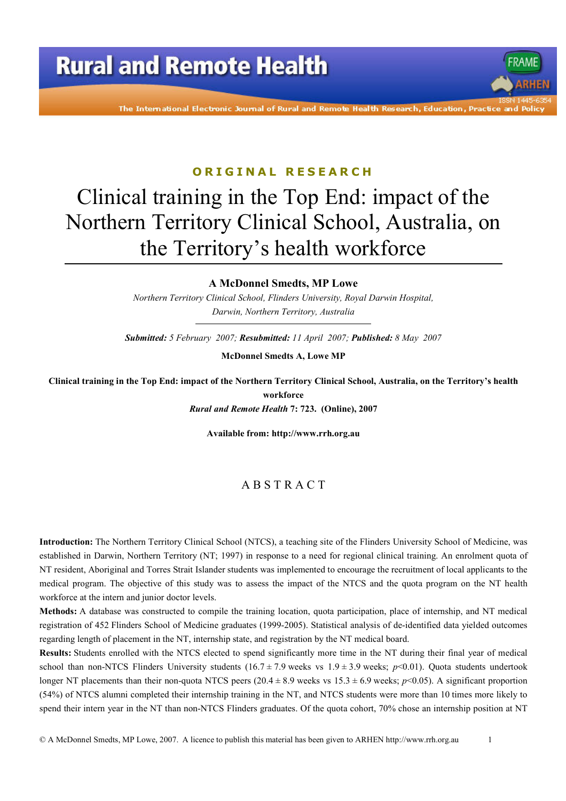

The International Electronic Journal of Rural and Remote Health Research, Education, Practice and Polio

#### ORIGINAL RESEARCH

# Clinical training in the Top End: impact of the Northern Territory Clinical School, Australia, on the Territory's health workforce

#### **A McDonnel Smedts, MP Lowe**

Northern Territory Clinical School, Flinders University, Royal Darwin Hospital, Darwin, Northern Territory, Australia

Submitted: 5 February 2007; Resubmitted: 11 April 2007; Published: 8 May 2007

**McDonnel Smedts A, Lowe MP** 

Clinical training in the Top End: impact of the Northern Territory Clinical School, Australia, on the Territory's health workforce Rural and Remote Health 7: 723. (Online), 2007

Available from: http://www.rrh.org.au

#### ABSTRACT

Introduction: The Northern Territory Clinical School (NTCS), a teaching site of the Flinders University School of Medicine, was established in Darwin, Northern Territory (NT; 1997) in response to a need for regional clinical training. An enrolment quota of NT resident, Aboriginal and Torres Strait Islander students was implemented to encourage the recruitment of local applicants to the medical program. The objective of this study was to assess the impact of the NTCS and the quota program on the NT health workforce at the intern and junior doctor levels.

Methods: A database was constructed to compile the training location, quota participation, place of internship, and NT medical registration of 452 Flinders School of Medicine graduates (1999-2005). Statistical analysis of de-identified data yielded outcomes regarding length of placement in the NT, internship state, and registration by the NT medical board.

**Results:** Students enrolled with the NTCS elected to spend significantly more time in the NT during their final year of medical school than non-NTCS Flinders University students  $(16.7 \pm 7.9$  weeks vs  $1.9 \pm 3.9$  weeks;  $p<0.01$ ). Quota students undertook longer NT placements than their non-quota NTCS peers (20.4 ± 8.9 weeks vs 15.3 ± 6.9 weeks;  $p$ <0.05). A significant proportion (54%) of NTCS alumni completed their internship training in the NT, and NTCS students were more than 10 times more likely to spend their intern year in the NT than non-NTCS Flinders graduates. Of the quota cohort, 70% chose an internship position at NT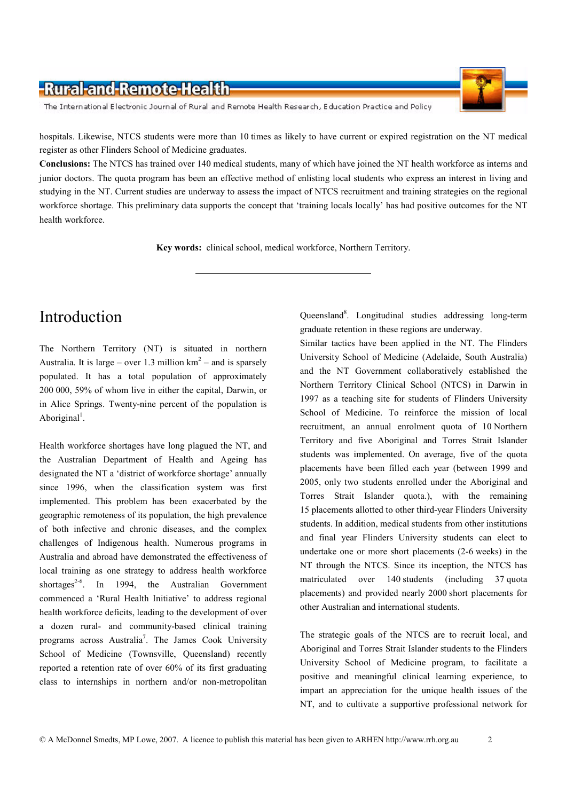#### -Rural-and-Remote-Health-

The International Electronic Journal of Rural and Remote Health Research, Education Practice and Policy



hospitals. Likewise, NTCS students were more than 10 times as likely to have current or expired registration on the NT medical register as other Flinders School of Medicine graduates.

Conclusions: The NTCS has trained over 140 medical students, many of which have joined the NT health workforce as interns and junior doctors. The quota program has been an effective method of enlisting local students who express an interest in living and studying in the NT. Current studies are underway to assess the impact of NTCS recruitment and training strategies on the regional workforce shortage. This preliminary data supports the concept that 'training locals locally' has had positive outcomes for the NT health workforce.

Key words: clinical school, medical workforce, Northern Territory.

#### Introduction

The Northern Territory (NT) is situated in northern Australia. It is large – over 1.3 million  $km^2$  – and is sparsely populated. It has a total population of approximately 200 000, 59% of whom live in either the capital, Darwin, or in Alice Springs. Twenty-nine percent of the population is Aboriginal<sup>1</sup>.

Health workforce shortages have long plagued the NT, and the Australian Department of Health and Ageing has designated the NT a 'district of workforce shortage' annually since 1996, when the classification system was first implemented. This problem has been exacerbated by the geographic remoteness of its population, the high prevalence of both infective and chronic diseases, and the complex challenges of Indigenous health. Numerous programs in Australia and abroad have demonstrated the effectiveness of local training as one strategy to address health workforce shortages<sup>2-6</sup>. In 1994, the Australian Government commenced a 'Rural Health Initiative' to address regional health workforce deficits, leading to the development of over a dozen rural- and community-based clinical training programs across Australia<sup>7</sup>. The James Cook University School of Medicine (Townsville, Queensland) recently reported a retention rate of over 60% of its first graduating class to internships in northern and/or non-metropolitan

Queensland<sup>8</sup>. Longitudinal studies addressing long-term graduate retention in these regions are underway.

Similar tactics have been applied in the NT. The Flinders University School of Medicine (Adelaide, South Australia) and the NT Government collaboratively established the Northern Territory Clinical School (NTCS) in Darwin in 1997 as a teaching site for students of Flinders University School of Medicine. To reinforce the mission of local recruitment, an annual enrolment quota of 10 Northern Territory and five Aboriginal and Torres Strait Islander students was implemented. On average, five of the quota placements have been filled each year (between 1999 and 2005, only two students enrolled under the Aboriginal and Torres Strait Islander quota.), with the remaining 15 placements allotted to other third-year Flinders University students. In addition, medical students from other institutions and final year Flinders University students can elect to undertake one or more short placements (2-6 weeks) in the NT through the NTCS. Since its inception, the NTCS has matriculated over 140 students (including 37 quota placements) and provided nearly 2000 short placements for other Australian and international students.

The strategic goals of the NTCS are to recruit local, and Aboriginal and Torres Strait Islander students to the Flinders University School of Medicine program, to facilitate a positive and meaningful clinical learning experience, to impart an appreciation for the unique health issues of the NT, and to cultivate a supportive professional network for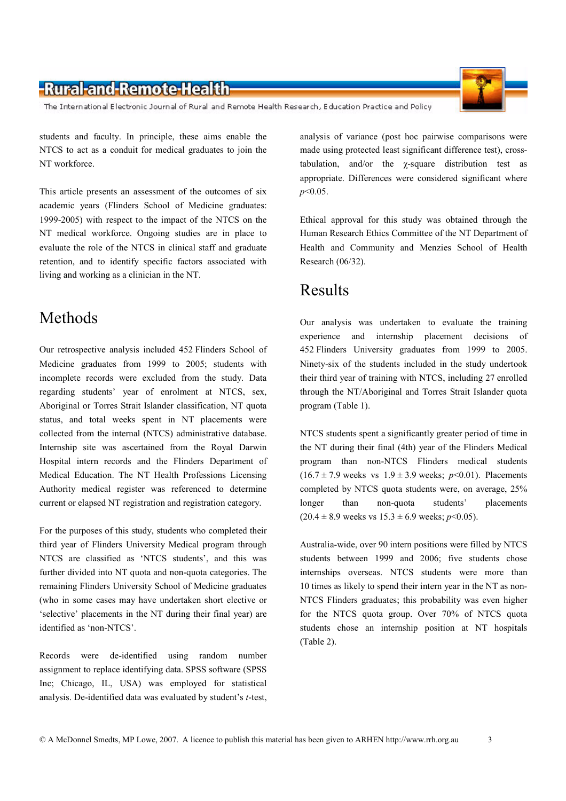#### -Rural-and-Remote-Health-

The International Electronic Journal of Rural and Remote Health Research, Education Practice and Policy

students and faculty. In principle, these aims enable the NTCS to act as a conduit for medical graduates to join the NT workforce

This article presents an assessment of the outcomes of six academic years (Flinders School of Medicine graduates: 1999-2005) with respect to the impact of the NTCS on the NT medical workforce. Ongoing studies are in place to evaluate the role of the NTCS in clinical staff and graduate retention, and to identify specific factors associated with living and working as a clinician in the NT.

## Methods

Our retrospective analysis included 452 Flinders School of Medicine graduates from 1999 to 2005; students with incomplete records were excluded from the study. Data regarding students' year of enrolment at NTCS, sex. Aboriginal or Torres Strait Islander classification, NT quota status, and total weeks spent in NT placements were collected from the internal (NTCS) administrative database. Internship site was ascertained from the Royal Darwin Hospital intern records and the Flinders Department of Medical Education. The NT Health Professions Licensing Authority medical register was referenced to determine current or elapsed NT registration and registration category.

For the purposes of this study, students who completed their third year of Flinders University Medical program through NTCS are classified as 'NTCS students', and this was further divided into NT quota and non-quota categories. The remaining Flinders University School of Medicine graduates (who in some cases may have undertaken short elective or 'selective' placements in the NT during their final year) are identified as 'non-NTCS'.

Records were de-identified using random number assignment to replace identifying data. SPSS software (SPSS Inc. Chicago, IL, USA) was employed for statistical analysis. De-identified data was evaluated by student's t-test,

analysis of variance (post hoc pairwise comparisons were made using protected least significant difference test), crosstabulation, and/or the  $\gamma$ -square distribution test as appropriate. Differences were considered significant where  $p<0.05$ .

Ethical approval for this study was obtained through the Human Research Ethics Committee of the NT Department of Health and Community and Menzies School of Health Research (06/32).

#### **Results**

Our analysis was undertaken to evaluate the training experience and internship placement decisions of 452 Flinders University graduates from 1999 to 2005. Ninety-six of the students included in the study undertook their third year of training with NTCS, including 27 enrolled through the NT/Aboriginal and Torres Strait Islander quota program (Table 1).

NTCS students spent a significantly greater period of time in the NT during their final (4th) year of the Flinders Medical program than non-NTCS Flinders medical students  $(16.7 \pm 7.9 \text{ weeks vs } 1.9 \pm 3.9 \text{ weeks; } p \le 0.01)$ . Placements completed by NTCS quota students were, on average, 25% than non-quota students' placements longer  $(20.4 \pm 8.9 \text{ weeks vs } 15.3 \pm 6.9 \text{ weeks}; p<0.05).$ 

Australia-wide, over 90 intern positions were filled by NTCS students between 1999 and 2006; five students chose internships overseas. NTCS students were more than 10 times as likely to spend their intern year in the NT as non-NTCS Flinders graduates: this probability was even higher for the NTCS quota group. Over 70% of NTCS quota students chose an internship position at NT hospitals  $(Table 2).$ 

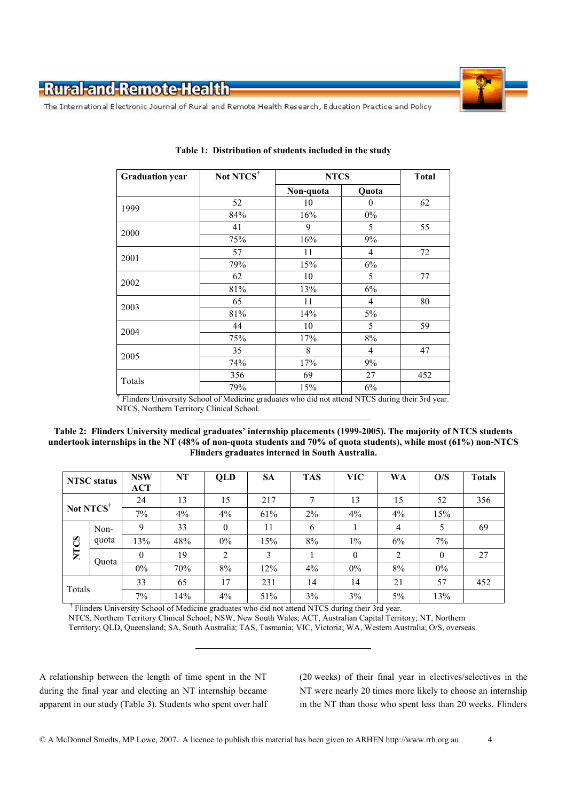

The International Electronic Journal of Rural and Remote Health Research, Education Practice and Policy

| <b>Graduation year</b> | Not NTCS <sup>†</sup> | <b>NTCS</b> | <b>Total</b>   |     |
|------------------------|-----------------------|-------------|----------------|-----|
|                        |                       | Non-quota   | Quota          |     |
| 1999                   | 52                    | 10          | $\theta$       | 62  |
|                        | 84%                   | 16%         | $0\%$          |     |
| 2000                   | 41                    | 9           | 5              | 55  |
|                        | 75%                   | 16%         | 9%             |     |
| 2001                   | 57                    | 11          | 4              | 72  |
|                        | 79%                   | 15%         | 6%             |     |
|                        | 62                    | 10          | 5              | 77  |
| 2002                   | 81%                   | 13%         | 6%             |     |
|                        | 65                    | 11          | 4              | 80  |
| 2003                   | 81%                   | 14%         | 5%             |     |
| 2004                   | 44                    | 10          | 5              | 59  |
|                        | 75%                   | 17%         | 8%             |     |
| 2005                   | 35                    | 8           | $\overline{4}$ | 47  |
|                        | 74%                   | 17%         | 9%             |     |
|                        | 356                   | 69          | 27             | 452 |
| Totals                 | 79%                   | 15%         | 6%             |     |

Table 1: Distribution of students included in the study

<sup>†</sup> Flinders University School of Medicine graduates who did not attend NTCS during their 3rd year. NTCS, Northern Territory Clinical School.

Table 2: Flinders University medical graduates' internship placements (1999-2005). The majority of NTCS students undertook internships in the NT (48% of non-quota students and 70% of quota students), while most (61%) non-NTCS Flinders graduates interned in South Australia.

|                       | <b>NTSC</b> status | <b>NSW</b><br><b>ACT</b> | NT  | QLD              | <b>SA</b> | <b>TAS</b> | <b>VIC</b> | <b>WA</b>      | O/S          | <b>Totals</b> |
|-----------------------|--------------------|--------------------------|-----|------------------|-----------|------------|------------|----------------|--------------|---------------|
|                       |                    | 24                       | 13  | 15               | 217       | $\tau$     | 13         | 15             | 52           | 356           |
| Not NTCS <sup>†</sup> | 7%                 | $4\%$                    | 4%  | 61%              | 2%        | 4%         | $4\%$      | 15%            |              |               |
| <b>NTCS</b>           | Non-               | 9                        | 33  | $\boldsymbol{0}$ | 11        | 6          |            | $\overline{4}$ | 5            | 69            |
|                       | quota              | 13%                      | 48% | $0\%$            | 15%       | 8%         | $1\%$      | 6%             | $7\%$        |               |
|                       | Quota              | $\theta$                 | 19  | 2                | 3         |            | $\theta$   | $\overline{2}$ | $\mathbf{0}$ | 27            |
|                       |                    | $0\%$                    | 70% | 8%               | 12%       | $4\%$      | $0\%$      | 8%             | $0\%$        |               |
| Totals                |                    | 33                       | 65  | 17               | 231       | 14         | 14         | 21             | 57           | 452           |
|                       |                    | 7%                       | 14% | 4%               | 51%       | 3%         | 3%         | 5%             | 13%          |               |

<sup>†</sup> Flinders University School of Medicine graduates who did not attend NTCS during their 3rd year. NTCS, Northern Territory Clinical School, NSW, New South Wales; ACT, Australian Capital Territory; NT, Northern Territory; QLD, Queensland; SA, South Australia; TAS, Tasmania; VIC, Victoria; WA, Western Australia; O/S, overseas.

A relationship between the length of time spent in the NT during the final year and electing an NT internship became apparent in our study (Table 3). Students who spent over half (20 weeks) of their final year in electives/selectives in the NT were nearly 20 times more likely to choose an internship in the NT than those who spent less than 20 weeks. Flinders

 $\overline{4}$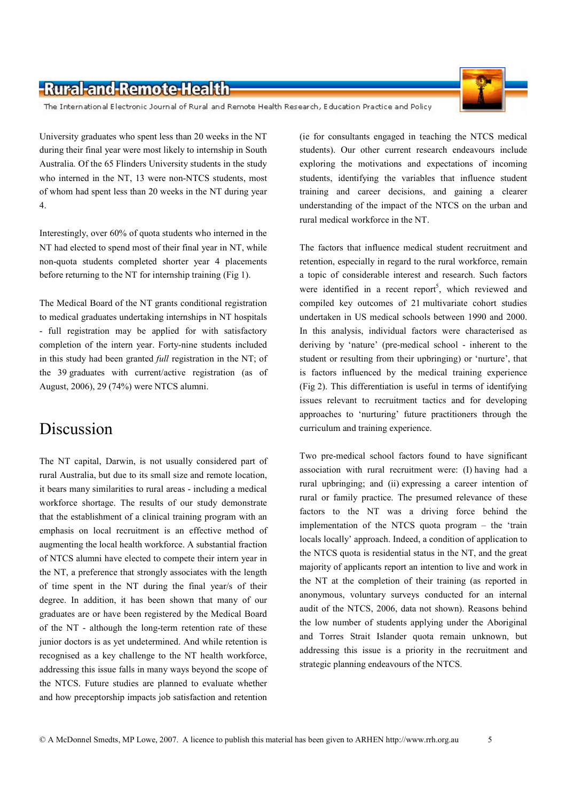### -Rural-and-Remote-Health-

The International Electronic Journal of Rural and Remote Health Research, Education Practice and Policy

University graduates who spent less than 20 weeks in the NT during their final year were most likely to internship in South Australia. Of the 65 Flinders University students in the study who interned in the NT, 13 were non-NTCS students, most of whom had spent less than 20 weeks in the NT during year  $\overline{4}$ .

Interestingly, over 60% of quota students who interned in the NT had elected to spend most of their final year in NT, while non-quota students completed shorter year 4 placements before returning to the NT for internship training (Fig 1).

The Medical Board of the NT grants conditional registration to medical graduates undertaking internships in NT hospitals - full registration may be applied for with satisfactory completion of the intern year. Forty-nine students included in this study had been granted *full* registration in the NT; of the 39 graduates with current/active registration (as of August, 2006), 29 (74%) were NTCS alumni.

### **Discussion**

The NT capital, Darwin, is not usually considered part of rural Australia, but due to its small size and remote location, it bears many similarities to rural areas - including a medical workforce shortage. The results of our study demonstrate that the establishment of a clinical training program with an emphasis on local recruitment is an effective method of augmenting the local health workforce. A substantial fraction of NTCS alumni have elected to compete their intern year in the NT, a preference that strongly associates with the length of time spent in the NT during the final year/s of their degree. In addition, it has been shown that many of our graduates are or have been registered by the Medical Board of the NT - although the long-term retention rate of these junior doctors is as yet undetermined. And while retention is recognised as a key challenge to the NT health workforce, addressing this issue falls in many ways beyond the scope of the NTCS. Future studies are planned to evaluate whether and how preceptorship impacts job satisfaction and retention

(ie for consultants engaged in teaching the NTCS medical students). Our other current research endeavours include exploring the motivations and expectations of incoming students, identifying the variables that influence student training and career decisions, and gaining a clearer understanding of the impact of the NTCS on the urban and rural medical workforce in the NT.

The factors that influence medical student recruitment and retention, especially in regard to the rural workforce, remain a topic of considerable interest and research. Such factors were identified in a recent report<sup>5</sup>, which reviewed and compiled key outcomes of 21 multivariate cohort studies undertaken in US medical schools between 1990 and 2000. In this analysis, individual factors were characterised as deriving by 'nature' (pre-medical school - inherent to the student or resulting from their upbringing) or 'nurture', that is factors influenced by the medical training experience (Fig 2). This differentiation is useful in terms of identifying issues relevant to recruitment tactics and for developing approaches to 'nurturing' future practitioners through the curriculum and training experience.

Two pre-medical school factors found to have significant association with rural recruitment were: (I) having had a rural upbringing; and (ii) expressing a career intention of rural or family practice. The presumed relevance of these factors to the NT was a driving force behind the implementation of the NTCS quota program - the 'train locals locally' approach. Indeed, a condition of application to the NTCS quota is residential status in the NT, and the great majority of applicants report an intention to live and work in the NT at the completion of their training (as reported in anonymous, voluntary surveys conducted for an internal audit of the NTCS, 2006, data not shown). Reasons behind the low number of students applying under the Aboriginal and Torres Strait Islander quota remain unknown, but addressing this issue is a priority in the recruitment and strategic planning endeavours of the NTCS.

5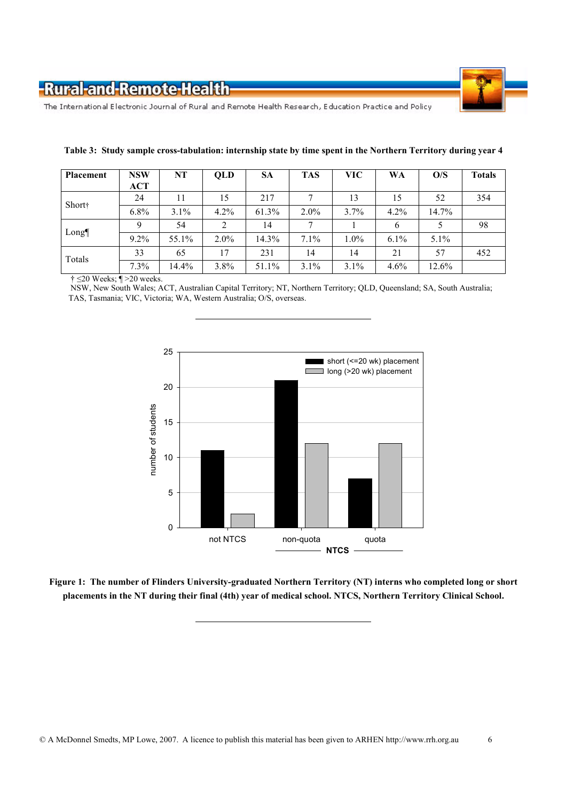



6

The International Electronic Journal of Rural and Remote Health Research, Education Practice and Policy

| Placement      | <b>NSW</b> | NT      | QLD     | <b>SA</b> | <b>TAS</b> | <b>VIC</b> | <b>WA</b> | O/S     | <b>Totals</b> |
|----------------|------------|---------|---------|-----------|------------|------------|-----------|---------|---------------|
|                | <b>ACT</b> |         |         |           |            |            |           |         |               |
| <b>Short</b> † | 24         | 11      | 15      | 217       |            | 13         | 15        | 52      | 354           |
|                | $6.8\%$    | $3.1\%$ | 4.2%    | 61.3%     | $2.0\%$    | 3.7%       | $4.2\%$   | 14.7%   |               |
| Long¶          | Q          | 54      | 2       | 14        |            |            | 6         |         | 98            |
|                | $9.2\%$    | 55.1%   | $2.0\%$ | 14.3%     | 7.1%       | 1.0%       | $6.1\%$   | $5.1\%$ |               |
| Totals         | 33         | 65      | 17      | 231       | 14         | 14         | 21        | 57      | 452           |
|                | 7.3%       | 14.4%   | 3.8%    | 51.1%     | 3.1%       | 3.1%       | 4.6%      | 12.6%   |               |

#### Table 3: Study sample cross-tabulation: internship state by time spent in the Northern Territory during year 4

 $\dagger \leq 20$  Weeks;  $\P > 20$  weeks.

NSW, New South Wales; ACT, Australian Capital Territory; NT, Northern Territory; QLD, Queensland; SA, South Australia; TAS, Tasmania; VIC, Victoria; WA, Western Australia; O/S, overseas.



Figure 1: The number of Flinders University-graduated Northern Territory (NT) interns who completed long or short placements in the NT during their final (4th) year of medical school. NTCS, Northern Territory Clinical School.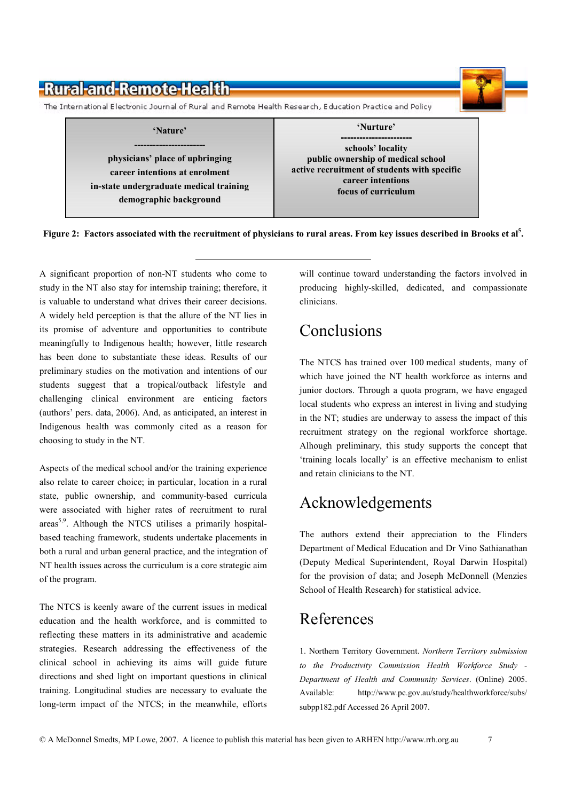

Figure 2: Factors associated with the recruitment of physicians to rural areas. From key issues described in Brooks et al<sup>5</sup>.

A significant proportion of non-NT students who come to study in the NT also stay for internship training; therefore, it is valuable to understand what drives their career decisions. A widely held perception is that the allure of the NT lies in its promise of adventure and opportunities to contribute meaningfully to Indigenous health; however, little research has been done to substantiate these ideas. Results of our preliminary studies on the motivation and intentions of our students suggest that a tropical/outback lifestyle and challenging clinical environment are enticing factors (authors' pers. data, 2006). And, as anticipated, an interest in Indigenous health was commonly cited as a reason for choosing to study in the NT.

Aspects of the medical school and/or the training experience also relate to career choice; in particular, location in a rural state, public ownership, and community-based curricula were associated with higher rates of recruitment to rural areas<sup>5,9</sup>. Although the NTCS utilises a primarily hospitalbased teaching framework, students undertake placements in both a rural and urban general practice, and the integration of NT health issues across the curriculum is a core strategic aim of the program.

The NTCS is keenly aware of the current issues in medical education and the health workforce, and is committed to reflecting these matters in its administrative and academic strategies. Research addressing the effectiveness of the clinical school in achieving its aims will guide future directions and shed light on important questions in clinical training. Longitudinal studies are necessary to evaluate the long-term impact of the NTCS; in the meanwhile, efforts

will continue toward understanding the factors involved in producing highly-skilled, dedicated, and compassionate clinicians.

# Conclusions

The NTCS has trained over 100 medical students, many of which have joined the NT health workforce as interns and junior doctors. Through a quota program, we have engaged local students who express an interest in living and studying in the NT; studies are underway to assess the impact of this recruitment strategy on the regional workforce shortage. Alhough preliminary, this study supports the concept that 'training locals locally' is an effective mechanism to enlist and retain clinicians to the NT.

### Acknowledgements

The authors extend their appreciation to the Flinders Department of Medical Education and Dr Vino Sathianathan (Deputy Medical Superintendent, Royal Darwin Hospital) for the provision of data; and Joseph McDonnell (Menzies School of Health Research) for statistical advice.

# References

1. Northern Territory Government. Northern Territory submission to the Productivity Commission Health Workforce Study -Department of Health and Community Services. (Online) 2005. Available: http://www.pc.gov.au/study/healthworkforce/subs/ subpp182.pdf Accessed 26 April 2007.

 $\overline{7}$